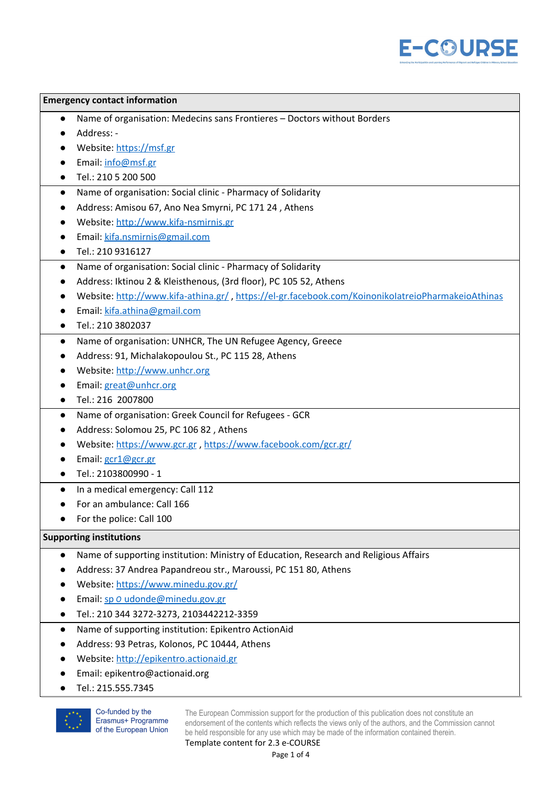

| <b>Emergency contact information</b>                                                  |                                                                                                   |  |  |  |
|---------------------------------------------------------------------------------------|---------------------------------------------------------------------------------------------------|--|--|--|
| Name of organisation: Medecins sans Frontieres - Doctors without Borders<br>$\bullet$ |                                                                                                   |  |  |  |
|                                                                                       | Address: -                                                                                        |  |  |  |
|                                                                                       | Website: https://msf.gr                                                                           |  |  |  |
|                                                                                       | Email: info@msf.gr                                                                                |  |  |  |
|                                                                                       | Tel.: 210 5 200 500                                                                               |  |  |  |
| $\bullet$                                                                             | Name of organisation: Social clinic - Pharmacy of Solidarity                                      |  |  |  |
|                                                                                       | Address: Amisou 67, Ano Nea Smyrni, PC 171 24, Athens                                             |  |  |  |
|                                                                                       | Website: http://www.kifa-nsmirnis.gr                                                              |  |  |  |
|                                                                                       | Email: kifa.nsmirnis@gmail.com                                                                    |  |  |  |
|                                                                                       | Tel.: 210 9316127                                                                                 |  |  |  |
| $\bullet$                                                                             | Name of organisation: Social clinic - Pharmacy of Solidarity                                      |  |  |  |
|                                                                                       | Address: Iktinou 2 & Kleisthenous, (3rd floor), PC 105 52, Athens                                 |  |  |  |
|                                                                                       | Website: http://www.kifa-athina.gr/, https://el-gr.facebook.com/KoinonikolatreioPharmakeioAthinas |  |  |  |
|                                                                                       | Email: kifa.athina@gmail.com                                                                      |  |  |  |
|                                                                                       | Tel.: 210 3802037                                                                                 |  |  |  |
| $\bullet$                                                                             | Name of organisation: UNHCR, The UN Refugee Agency, Greece                                        |  |  |  |
|                                                                                       | Address: 91, Michalakopoulou St., PC 115 28, Athens                                               |  |  |  |
|                                                                                       | Website: http://www.unhcr.org                                                                     |  |  |  |
|                                                                                       | Email: great@unhcr.org                                                                            |  |  |  |
|                                                                                       | Tel.: 216 2007800                                                                                 |  |  |  |
| $\bullet$                                                                             | Name of organisation: Greek Council for Refugees - GCR                                            |  |  |  |
|                                                                                       | Address: Solomou 25, PC 106 82, Athens                                                            |  |  |  |
|                                                                                       | Website: https://www.gcr.gr, https://www.facebook.com/gcr.gr/                                     |  |  |  |
|                                                                                       | Email: gcr1@gcr.gr                                                                                |  |  |  |
|                                                                                       | Tel.: 2103800990 - 1                                                                              |  |  |  |
|                                                                                       | In a medical emergency: Call 112                                                                  |  |  |  |
|                                                                                       | For an ambulance: Call 166                                                                        |  |  |  |
|                                                                                       | For the police: Call 100                                                                          |  |  |  |
| <b>Supporting institutions</b>                                                        |                                                                                                   |  |  |  |
| $\bullet$                                                                             | Name of supporting institution: Ministry of Education, Research and Religious Affairs             |  |  |  |
|                                                                                       | Address: 37 Andrea Papandreou str., Maroussi, PC 151 80, Athens                                   |  |  |  |
|                                                                                       | Website: https://www.minedu.gov.gr/                                                               |  |  |  |
|                                                                                       | Email: sp O udonde@minedu.gov.gr                                                                  |  |  |  |
|                                                                                       | Tel.: 210 344 3272-3273, 2103442212-3359                                                          |  |  |  |
|                                                                                       | Name of supporting institution: Epikentro ActionAid                                               |  |  |  |
|                                                                                       | Address: 93 Petras, Kolonos, PC 10444, Athens                                                     |  |  |  |
|                                                                                       | Website: http://epikentro.actionaid.gr                                                            |  |  |  |

- Email: epikentro@actionaid.org
- Tel.: 215.555.7345



Co-funded by the Erasmus+ Programme of the European Union

The European Commission support for the production of this publication does not constitute an endorsement of the contents which reflects the views only of the authors, and the Commission cannot be held responsible for any use which may be made of the information contained therein.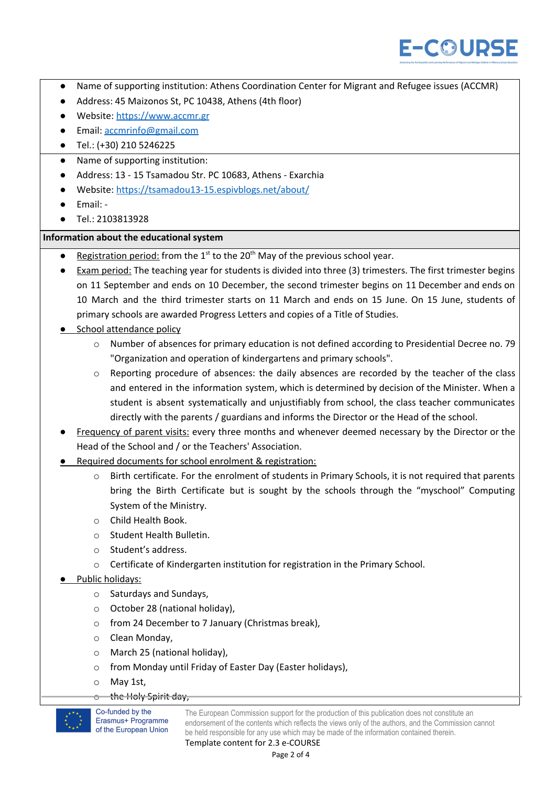

- Name of supporting institution: Athens Coordination Center for Migrant and Refugee issues (ACCMR)
- Address: 45 Maizonos St, PC 10438, Athens (4th floor)
- Website: [https://www.accmr.gr](https://www.accmr.gr/)
- Email: [accmrinfo@gmail.com](mailto:accmrinfo@gmail.com)
- Tel.: (+30) 210 5246225
- Name of supporting institution:
- Address: 13 15 Tsamadou Str. PC 10683, Athens Exarchia
- Website: <https://tsamadou13-15.espivblogs.net/about/>
- Email: -
- Tel.: 2103813928

## **Information about the educational system**

- **•** Registration period: from the  $1^{st}$  to the 20<sup>th</sup> May of the previous school year.
- Exam period: The teaching year for students is divided into three (3) trimesters. The first trimester begins on 11 September and ends on 10 December, the second trimester begins on 11 December and ends on 10 March and the third trimester starts on 11 March and ends on 15 June. On 15 June, students of primary schools are awarded Progress Letters and copies of a Title of Studies.
- School attendance policy
	- o Number of absences for primary education is not defined according to Presidential Decree no. 79 "Organization and operation of kindergartens and primary schools".
	- $\circ$  Reporting procedure of absences: the daily absences are recorded by the teacher of the class and entered in the information system, which is determined by decision of the Minister. When a student is absent systematically and unjustifiably from school, the class teacher communicates directly with the parents / guardians and informs the Director or the Head of the school.
- Frequency of parent visits: every three months and whenever deemed necessary by the Director or the Head of the School and / or the Teachers' Association.
- Required documents for school enrolment & registration:
	- o Birth certificate. For the enrolment of students in Primary Schools, it is not required that parents bring the Birth Certificate but is sought by the schools through the "myschool" Computing System of the Ministry.
	- o Child Health Book.
	- o Student Health Bulletin.
	- o Student's address.
	- o Certificate of Kindergarten institution for registration in the Primary School.

## Public holidays:

- o Saturdays and Sundays,
- o October 28 (national holiday),
- o from 24 December to 7 January (Christmas break),
- o Clean Monday,
- o March 25 (national holiday),
- o from Monday until Friday of Easter Day (Easter holidays),
- o May 1st,
- the Holy Spirit day,

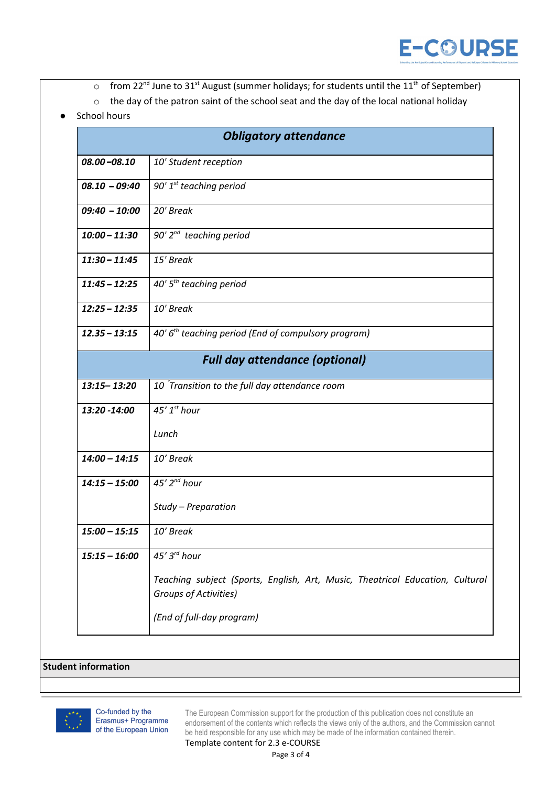

- $\circ$  from 22<sup>nd</sup> June to 31<sup>st</sup> August (summer holidays; for students until the 11<sup>th</sup> of September)
- o the day of the patron saint of the school seat and the day of the local national holiday
- **School hours**

|                                       | <b>Obligatory attendance</b>                                                                                  |  |  |  |  |
|---------------------------------------|---------------------------------------------------------------------------------------------------------------|--|--|--|--|
| $08.00 - 08.10$                       | 10' Student reception                                                                                         |  |  |  |  |
| $08.10 - 09:40$                       | 90' $1^{st}$ teaching period                                                                                  |  |  |  |  |
| $09:40 - 10:00$                       | 20' Break                                                                                                     |  |  |  |  |
| $10:00 - 11:30$                       | 90' $2^{nd}$ teaching period                                                                                  |  |  |  |  |
| $11:30 - 11:45$                       | 15' Break                                                                                                     |  |  |  |  |
| $11:45 - 12:25$                       | 40' $5th$ teaching period                                                                                     |  |  |  |  |
| $12:25 - 12:35$                       | 10' Break                                                                                                     |  |  |  |  |
| $12.35 - 13:15$                       | 40' 6 <sup>th</sup> teaching period (End of compulsory program)                                               |  |  |  |  |
| <b>Full day attendance (optional)</b> |                                                                                                               |  |  |  |  |
| $13:15 - 13:20$                       | 10 Transition to the full day attendance room                                                                 |  |  |  |  |
| 13:20 -14:00                          | 45' $1st$ hour                                                                                                |  |  |  |  |
|                                       | Lunch                                                                                                         |  |  |  |  |
| $14:00 - 14:15$                       | 10' Break                                                                                                     |  |  |  |  |
| $14:15 - 15:00$                       | 45' $2^{nd}$ hour                                                                                             |  |  |  |  |
|                                       | Study - Preparation                                                                                           |  |  |  |  |
| $15:00 - 15:15$                       | 10' Break                                                                                                     |  |  |  |  |
| $15:15 - 16:00$                       | $45'3^{rd}$ hour                                                                                              |  |  |  |  |
|                                       | Teaching subject (Sports, English, Art, Music, Theatrical Education, Cultural<br><b>Groups of Activities)</b> |  |  |  |  |
|                                       |                                                                                                               |  |  |  |  |



The European Commission support for the production of this publication does not constitute an endorsement of the contents which reflects the views only of the authors, and the Commission cannot be held responsible for any use which may be made of the information contained therein.